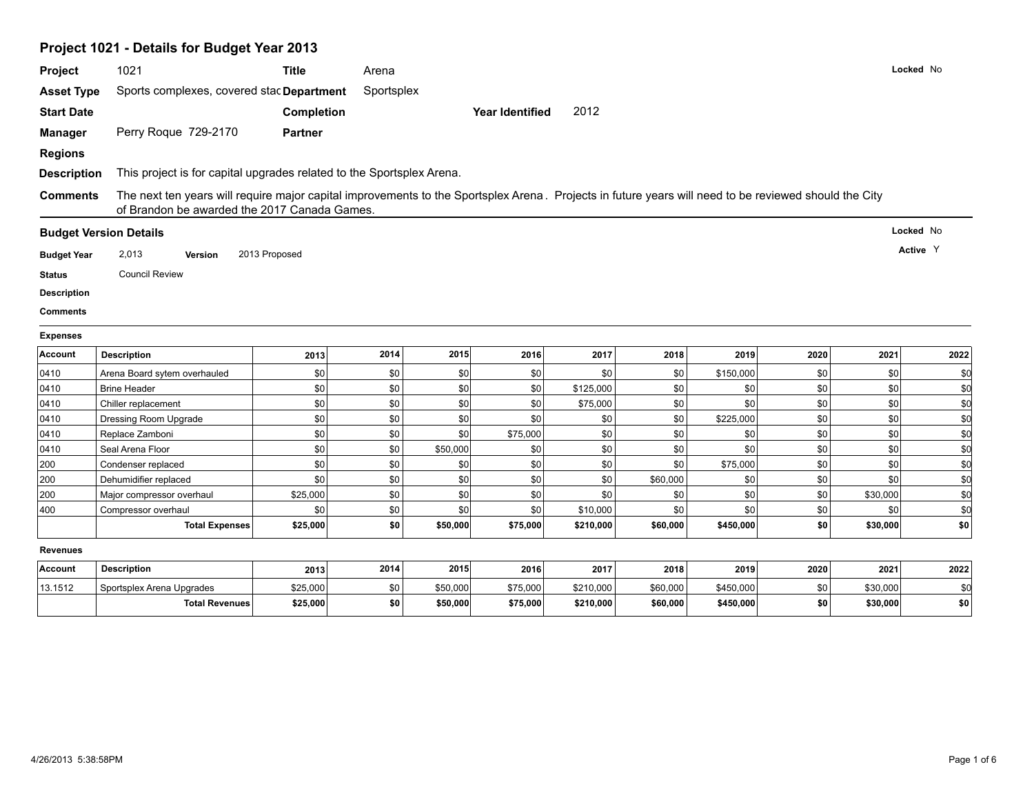# **Project 1021 - Details for Budget Year 2013**

| Project            | 1021                                                                                                                                                                                                  | <b>Title</b>      | Arena      |          |                        |           |          |           |      |          | Locked No |
|--------------------|-------------------------------------------------------------------------------------------------------------------------------------------------------------------------------------------------------|-------------------|------------|----------|------------------------|-----------|----------|-----------|------|----------|-----------|
| <b>Asset Type</b>  | Sports complexes, covered stac Department                                                                                                                                                             |                   | Sportsplex |          |                        |           |          |           |      |          |           |
| <b>Start Date</b>  |                                                                                                                                                                                                       | <b>Completion</b> |            |          | <b>Year Identified</b> | 2012      |          |           |      |          |           |
| <b>Manager</b>     | Perry Roque 729-2170                                                                                                                                                                                  | <b>Partner</b>    |            |          |                        |           |          |           |      |          |           |
| <b>Regions</b>     |                                                                                                                                                                                                       |                   |            |          |                        |           |          |           |      |          |           |
| <b>Description</b> | This project is for capital upgrades related to the Sportsplex Arena.                                                                                                                                 |                   |            |          |                        |           |          |           |      |          |           |
| <b>Comments</b>    | The next ten years will require major capital improvements to the Sportsplex Arena. Projects in future years will need to be reviewed should the City<br>of Brandon be awarded the 2017 Canada Games. |                   |            |          |                        |           |          |           |      |          |           |
|                    | <b>Budget Version Details</b>                                                                                                                                                                         |                   |            |          |                        |           |          |           |      |          | Locked No |
| <b>Budget Year</b> | 2,013<br>Version                                                                                                                                                                                      | 2013 Proposed     |            |          |                        |           |          |           |      |          | Active Y  |
| <b>Status</b>      | <b>Council Review</b>                                                                                                                                                                                 |                   |            |          |                        |           |          |           |      |          |           |
| <b>Description</b> |                                                                                                                                                                                                       |                   |            |          |                        |           |          |           |      |          |           |
| Comments           |                                                                                                                                                                                                       |                   |            |          |                        |           |          |           |      |          |           |
| <b>Expenses</b>    |                                                                                                                                                                                                       |                   |            |          |                        |           |          |           |      |          |           |
| <b>Account</b>     | <b>Description</b>                                                                                                                                                                                    | 2013              | 2014       | 2015     | 2016                   | 2017      | 2018     | 2019      | 2020 | 2021     | 2022      |
| 0410               | Arena Board sytem overhauled                                                                                                                                                                          | \$0               | \$0        | \$0      | \$0                    | \$0       | \$0      | \$150,000 | \$0  | \$0      | \$d       |
| 0410               | <b>Brine Header</b>                                                                                                                                                                                   | \$0               | \$0        | \$0      | \$0                    | \$125,000 | \$0      | \$0       | \$0  | \$0      | \$d       |
| 0410               | Chiller replacement                                                                                                                                                                                   | \$0               | \$0        | \$0      | \$0                    | \$75,000  | \$0      | \$0       | \$0  | \$0      | \$d       |
| 0410               | Dressing Room Upgrade                                                                                                                                                                                 | \$0               | \$0        | \$0      | \$0                    | \$0       | \$0      | \$225,000 | \$0  | \$0      | \$d       |
| 0410               | Replace Zamboni                                                                                                                                                                                       | \$0               | \$0        | \$0      | \$75,000               | \$0       | \$0      | \$0       | \$0  | \$0      | \$d       |
| 0410               | Seal Arena Floor                                                                                                                                                                                      | \$0               | \$0        | \$50,000 | \$0                    | \$0       | \$0      | \$0       | \$0  | \$0      | \$0       |
| 200                | Condenser replaced                                                                                                                                                                                    | \$0               | \$0        | \$0      | \$0                    | \$0       | \$0      | \$75,000  | \$0  | \$0      | \$0       |
| 200                | Dehumidifier replaced                                                                                                                                                                                 | \$0               | \$0        | \$0      | \$0                    | \$0       | \$60,000 | \$0       | \$0  | \$0      | \$d       |
| 200                | Major compressor overhaul                                                                                                                                                                             | \$25,000          | \$0        | \$0      | \$0                    | \$0       | \$0      | \$0       | \$0  | \$30,000 | \$0       |
| 400                | Compressor overhaul                                                                                                                                                                                   | \$0               | \$0        | \$0      | \$0                    | \$10,000  | \$0      | \$0       | \$0  | \$0      | \$d       |
|                    | <b>Total Expenses</b>                                                                                                                                                                                 | \$25,000          | \$0        | \$50,000 | \$75,000               | \$210,000 | \$60,000 | \$450,000 | \$0  | \$30,000 | \$0       |
| <b>Revenues</b>    |                                                                                                                                                                                                       |                   |            |          |                        |           |          |           |      |          |           |
| Account            | <b>Description</b>                                                                                                                                                                                    | 2013              | 2014       | 2015     | 2016                   | 2017      | 2018     | 2019      | 2020 | 2021     | 2022      |
| 13.1512            | Sportsplex Arena Upgrades                                                                                                                                                                             | \$25,000          | \$0        | \$50,000 | \$75,000               | \$210,000 | \$60,000 | \$450,000 | \$0  | \$30,000 | \$0       |
|                    | <b>Total Revenues</b>                                                                                                                                                                                 | \$25,000          | \$0        | \$50,000 | \$75,000               | \$210,000 | \$60,000 | \$450,000 | \$0  | \$30,000 | \$0       |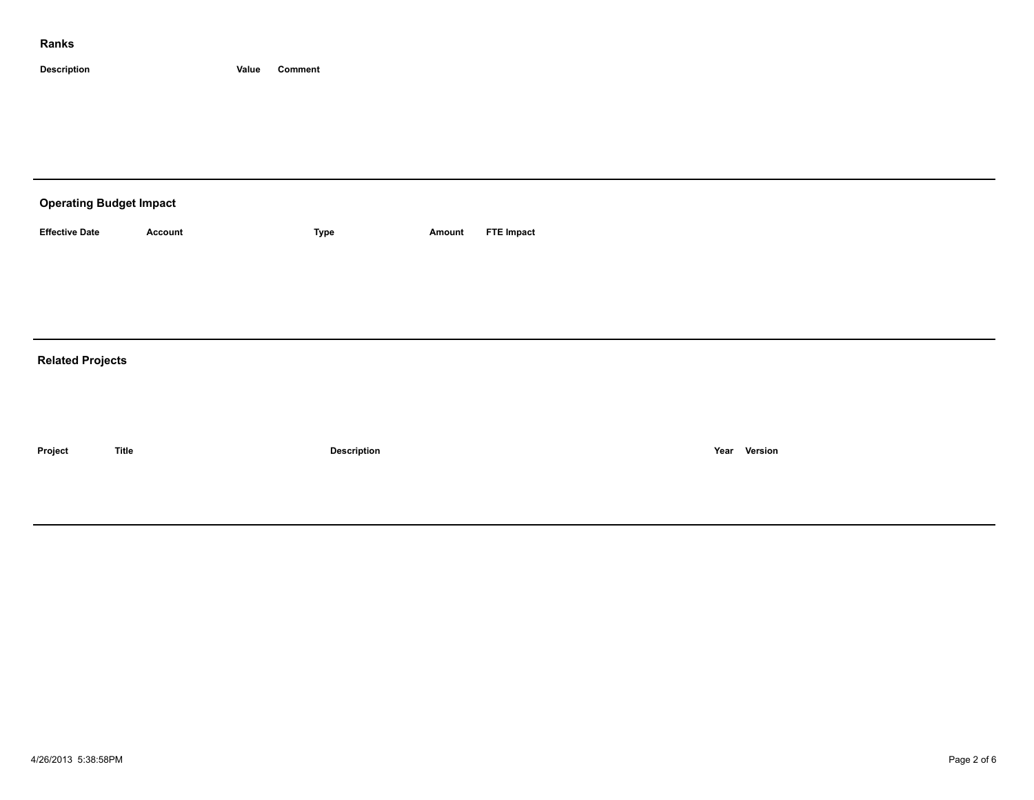## **Ranks**

**Description Value Comment**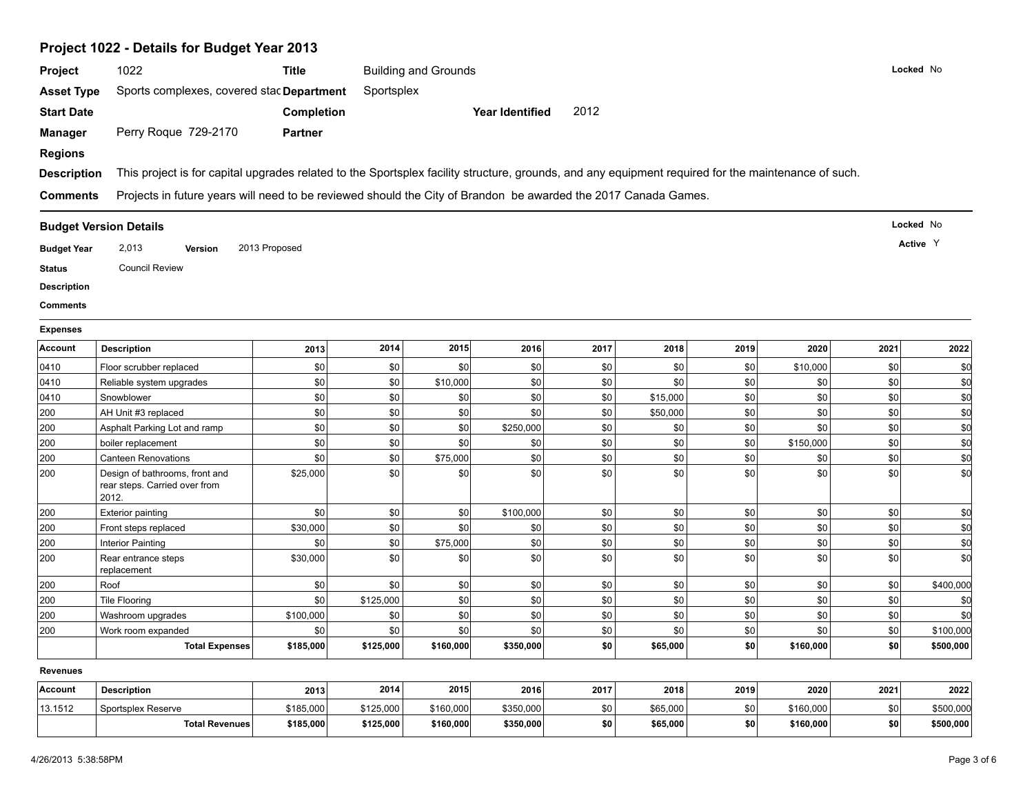| Project 1022 - Details for Budget Year 2013 |  |
|---------------------------------------------|--|
|---------------------------------------------|--|

| Project                           | 1022                                                                                                                                                | <b>Title</b>      |            | <b>Building and Grounds</b> |                        |      |          |      |           |      | Locked No |
|-----------------------------------|-----------------------------------------------------------------------------------------------------------------------------------------------------|-------------------|------------|-----------------------------|------------------------|------|----------|------|-----------|------|-----------|
| <b>Asset Type</b>                 | Sports complexes, covered stac Department                                                                                                           |                   | Sportsplex |                             |                        |      |          |      |           |      |           |
| <b>Start Date</b>                 |                                                                                                                                                     | <b>Completion</b> |            |                             | <b>Year Identified</b> | 2012 |          |      |           |      |           |
| <b>Manager</b>                    | Perry Roque 729-2170                                                                                                                                | <b>Partner</b>    |            |                             |                        |      |          |      |           |      |           |
| <b>Regions</b>                    |                                                                                                                                                     |                   |            |                             |                        |      |          |      |           |      |           |
|                                   | This project is for capital upgrades related to the Sportsplex facility structure, grounds, and any equipment required for the maintenance of such. |                   |            |                             |                        |      |          |      |           |      |           |
| <b>Description</b>                |                                                                                                                                                     |                   |            |                             |                        |      |          |      |           |      |           |
| <b>Comments</b>                   | Projects in future years will need to be reviewed should the City of Brandon be awarded the 2017 Canada Games.                                      |                   |            |                             |                        |      |          |      |           |      |           |
|                                   | <b>Budget Version Details</b>                                                                                                                       |                   |            |                             |                        |      |          |      |           |      | Locked No |
| <b>Budget Year</b>                | 2,013<br><b>Version</b>                                                                                                                             | 2013 Proposed     |            |                             |                        |      |          |      |           |      | Active Y  |
| <b>Status</b>                     | <b>Council Review</b>                                                                                                                               |                   |            |                             |                        |      |          |      |           |      |           |
| <b>Description</b>                |                                                                                                                                                     |                   |            |                             |                        |      |          |      |           |      |           |
| <b>Comments</b>                   |                                                                                                                                                     |                   |            |                             |                        |      |          |      |           |      |           |
|                                   |                                                                                                                                                     |                   |            |                             |                        |      |          |      |           |      |           |
| <b>Expenses</b><br><b>Account</b> | <b>Description</b>                                                                                                                                  | 2013              | 2014       | 2015                        | 2016                   | 2017 | 2018     | 2019 | 2020      | 2021 | 2022      |
| 0410                              | Floor scrubber replaced                                                                                                                             | \$0               | \$0        | \$0                         | \$0                    | \$0  | \$0      | \$0  | \$10,000  | \$0  | \$0       |
| 0410                              | Reliable system upgrades                                                                                                                            | \$0               | \$0        | \$10,000                    | \$0                    | \$0  | \$0      | \$0  | \$0       | \$0  | \$d       |
| 0410                              | Snowblower                                                                                                                                          | \$0               | \$0        | \$0                         | \$0                    | \$0  | \$15,000 | \$0  | \$0       | \$0  | \$q       |
| 200                               | AH Unit #3 replaced                                                                                                                                 | \$0               | \$0        | \$0                         | \$0                    | \$0  | \$50,000 | \$0  | \$0       | \$0  | \$d       |
| 200                               | Asphalt Parking Lot and ramp                                                                                                                        | \$0               | \$0        | \$0                         | \$250,000              | \$0  | \$0      | \$0  | \$0       | \$0  | \$d       |
| 200                               | boiler replacement                                                                                                                                  | $\$0$             | $\$0$      | \$0                         | \$0                    | \$0  | \$0      | \$0  | \$150,000 | \$0  | \$d       |
| 200                               | <b>Canteen Renovations</b>                                                                                                                          | \$0               | \$0        | \$75,000                    | \$0                    | \$0  | \$0      | \$0  | \$0       | \$0  | \$d       |
| 200                               | Design of bathrooms, front and<br>rear steps. Carried over from<br>2012.                                                                            | \$25,000          | \$0        | \$0                         | \$0                    | \$0  | \$0      | \$0  | \$0       | \$0  | \$d       |
| 200                               | <b>Exterior painting</b>                                                                                                                            | \$0               | \$0        | \$0                         | \$100,000              | \$0  | \$0      | \$0  | \$0       | \$0  | \$d       |
| 200                               | Front steps replaced                                                                                                                                | \$30,000          | \$0        | \$0                         | \$0                    | \$0  | \$0      | \$0  | \$0       | \$0  | \$d       |
| 200                               | Interior Painting                                                                                                                                   | \$0               | \$0        | \$75,000                    | \$0                    | \$0  | \$0      | \$0  | \$0       | \$0  | \$d       |
| 200                               | Rear entrance steps<br>replacement                                                                                                                  | \$30,000          | \$0        | \$0                         | \$0                    | \$0  | \$0      | \$0  | \$0       | \$0  | \$d       |
| 200                               | Roof                                                                                                                                                | \$0               | \$0        | \$0                         | \$0                    | \$0  | \$0      | \$0  | \$0       | \$0  | \$400,000 |
| 200                               | <b>Tile Flooring</b>                                                                                                                                | \$0               | \$125,000  | \$0                         | \$0                    | \$0  | \$0      | \$0  | \$0       | \$0  | \$0       |
| 200                               | Washroom upgrades                                                                                                                                   | \$100,000         | \$0        | \$0                         | \$0                    | \$0  | \$0      | \$0  | \$0       | \$0  | \$0       |
| 200                               | Work room expanded                                                                                                                                  | \$0               | \$0        | \$0                         | \$0                    | \$0  | \$0      | \$0  | \$0       | \$0  | \$100,000 |
|                                   | <b>Total Expenses</b>                                                                                                                               | \$185,000         | \$125,000  | \$160,000                   | \$350,000              | \$0  | \$65,000 | \$0  | \$160,000 | \$0  | \$500,000 |
| <b>Revenues</b>                   |                                                                                                                                                     |                   |            |                             |                        |      |          |      |           |      |           |
| Account                           | <b>Description</b>                                                                                                                                  | 2013              | 2014       | 2015                        | 2016                   | 2017 | 2018     | 2019 | 2020      | 2021 | 2022      |
| 13.1512                           | Sportsplex Reserve                                                                                                                                  | \$185,000         | \$125,000  | \$160,000                   | \$350,000              | \$0  | \$65,000 | \$0  | \$160,000 | \$0  | \$500,000 |
|                                   | <b>Total Revenues</b>                                                                                                                               | \$185,000         | \$125,000  | \$160,000                   | \$350,000              | \$0  | \$65,000 | \$0  | \$160,000 | \$0  | \$500,000 |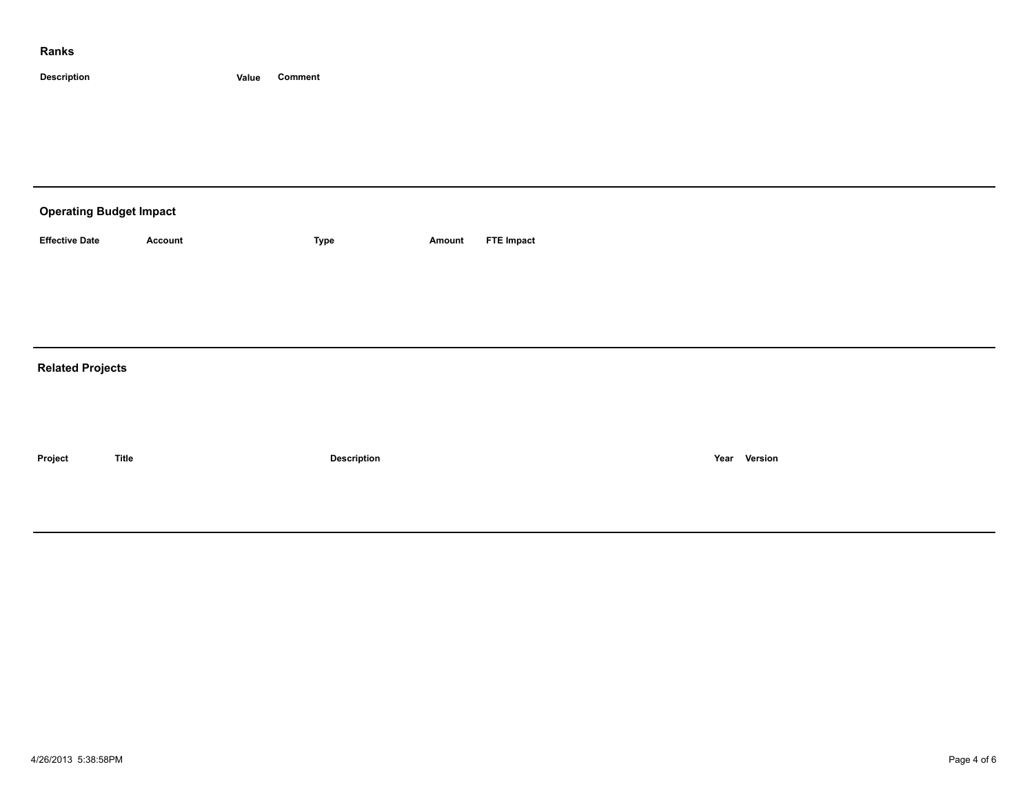#### **Ranks**

**Description Value Comment**

| <b>Operating Budget Impact</b> |              |             |        |                   |      |         |  |  |  |  |  |
|--------------------------------|--------------|-------------|--------|-------------------|------|---------|--|--|--|--|--|
| <b>Effective Date</b>          | Account      | <b>Type</b> | Amount | <b>FTE Impact</b> |      |         |  |  |  |  |  |
|                                |              |             |        |                   |      |         |  |  |  |  |  |
|                                |              |             |        |                   |      |         |  |  |  |  |  |
| <b>Related Projects</b>        |              |             |        |                   |      |         |  |  |  |  |  |
|                                |              |             |        |                   |      |         |  |  |  |  |  |
|                                |              |             |        |                   |      |         |  |  |  |  |  |
| Project                        | <b>Title</b> | Description |        |                   | Year | Version |  |  |  |  |  |
|                                |              |             |        |                   |      |         |  |  |  |  |  |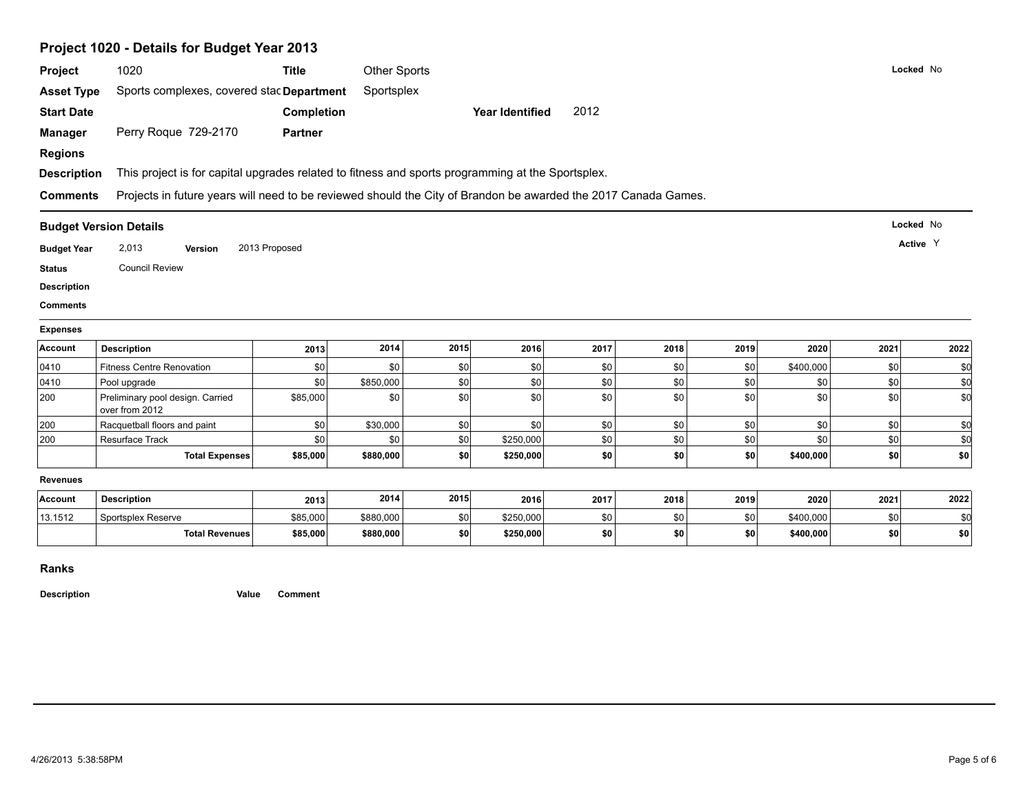# **Project 1020 - Details for Budget Year 2013**

|                                       | 1020                                                                                                           | <b>Title</b>   | Other Sports |      |                 |      |      |      |           |      | Locked No         |
|---------------------------------------|----------------------------------------------------------------------------------------------------------------|----------------|--------------|------|-----------------|------|------|------|-----------|------|-------------------|
| <b>Asset Type</b>                     | Sports complexes, covered stac Department                                                                      |                | Sportsplex   |      |                 |      |      |      |           |      |                   |
| <b>Start Date</b>                     |                                                                                                                | Completion     |              |      | Year Identified | 2012 |      |      |           |      |                   |
| <b>Manager</b>                        | Perry Roque 729-2170                                                                                           | <b>Partner</b> |              |      |                 |      |      |      |           |      |                   |
| <b>Regions</b>                        |                                                                                                                |                |              |      |                 |      |      |      |           |      |                   |
| <b>Description</b>                    | This project is for capital upgrades related to fitness and sports programming at the Sportsplex.              |                |              |      |                 |      |      |      |           |      |                   |
| <b>Comments</b>                       | Projects in future years will need to be reviewed should the City of Brandon be awarded the 2017 Canada Games. |                |              |      |                 |      |      |      |           |      |                   |
|                                       | <b>Budget Version Details</b>                                                                                  |                |              |      |                 |      |      |      |           |      | Locked No         |
| <b>Budget Year</b>                    | 2,013<br>Version                                                                                               | 2013 Proposed  |              |      |                 |      |      |      |           |      | Active Y          |
| <b>Status</b>                         | <b>Council Review</b>                                                                                          |                |              |      |                 |      |      |      |           |      |                   |
|                                       |                                                                                                                |                |              |      |                 |      |      |      |           |      |                   |
|                                       |                                                                                                                |                |              |      |                 |      |      |      |           |      |                   |
| <b>Description</b><br><b>Comments</b> |                                                                                                                |                |              |      |                 |      |      |      |           |      |                   |
| <b>Expenses</b>                       |                                                                                                                |                |              |      |                 |      |      |      |           |      |                   |
| Account                               | <b>Description</b>                                                                                             | 2013           | 2014         | 2015 | 2016            | 2017 | 2018 | 2019 | 2020      | 2021 | 2022              |
| 0410                                  | <b>Fitness Centre Renovation</b>                                                                               | \$0            | \$0          | \$0  | \$0             | \$0  | \$0  | \$0  | \$400,000 | \$0  | \$0               |
| 0410                                  | Pool upgrade                                                                                                   | \$0            | \$850,000    | \$0  | \$0             | \$0  | \$0  | \$0  | \$0       | \$0  |                   |
| 200                                   | Preliminary pool design. Carried<br>over from 2012                                                             | \$85,000       | \$0          | \$0  | \$0             | \$0  | \$0  | \$0  | \$0       | \$0  |                   |
| 200                                   | Racquetball floors and paint                                                                                   | \$0            | \$30,000     | \$0  | \$0             | \$0  | \$0  | \$0  | \$0       | \$0  | \$0<br>\$d<br>\$0 |
| 200                                   | <b>Resurface Track</b>                                                                                         | \$0            | \$0          | \$0  | \$250,000       | \$0  | \$0  | \$0  | \$0       | \$0  |                   |
|                                       | <b>Total Expenses</b>                                                                                          | \$85,000       | \$880,000    | \$0  | \$250,000       | \$0  | \$0  | \$0  | \$400,000 | \$0  | \$d<br>\$0        |
| <b>Revenues</b>                       |                                                                                                                |                |              |      |                 |      |      |      |           |      |                   |
| Account                               | <b>Description</b>                                                                                             | 2013           | 2014         | 2015 | 2016            | 2017 | 2018 | 2019 | 2020      | 2021 | 2022              |
| 13.1512                               | Sportsplex Reserve                                                                                             | \$85,000       | \$880,000    | \$0  | \$250,000       | \$0  | \$0  | \$0  | \$400,000 | \$0  | \$0               |

**Ranks**

**Description Value Comment**